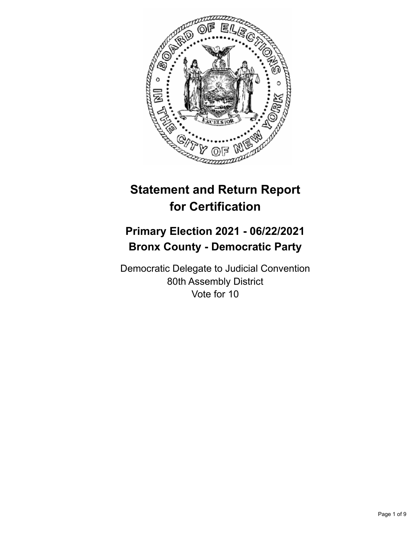

# **Statement and Return Report for Certification**

## **Primary Election 2021 - 06/22/2021 Bronx County - Democratic Party**

Democratic Delegate to Judicial Convention 80th Assembly District Vote for 10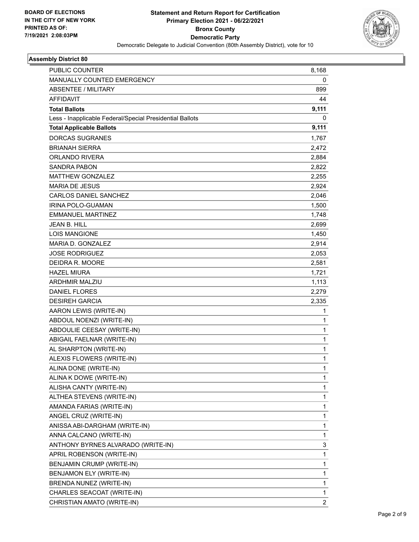

| <b>PUBLIC COUNTER</b>                                    | 8,168          |
|----------------------------------------------------------|----------------|
| MANUALLY COUNTED EMERGENCY                               | 0              |
| <b>ABSENTEE / MILITARY</b>                               | 899            |
| <b>AFFIDAVIT</b>                                         | 44             |
| <b>Total Ballots</b>                                     | 9,111          |
| Less - Inapplicable Federal/Special Presidential Ballots | 0              |
| <b>Total Applicable Ballots</b>                          | 9,111          |
| <b>DORCAS SUGRANES</b>                                   | 1,767          |
| <b>BRIANAH SIERRA</b>                                    | 2,472          |
| <b>ORLANDO RIVERA</b>                                    | 2,884          |
| SANDRA PABON                                             | 2,822          |
| <b>MATTHEW GONZALEZ</b>                                  | 2,255          |
| <b>MARIA DE JESUS</b>                                    | 2,924          |
| <b>CARLOS DANIEL SANCHEZ</b>                             | 2,046          |
| IRINA POLO-GUAMAN                                        | 1,500          |
| <b>EMMANUEL MARTINEZ</b>                                 | 1,748          |
| <b>JEAN B. HILL</b>                                      | 2,699          |
| LOIS MANGIONE                                            | 1,450          |
| MARIA D. GONZALEZ                                        | 2,914          |
| <b>JOSE RODRIGUEZ</b>                                    | 2,053          |
| DEIDRA R. MOORE                                          | 2,581          |
| <b>HAZEL MIURA</b>                                       | 1,721          |
| ARDHMIR MALZIU                                           | 1,113          |
| <b>DANIEL FLORES</b>                                     | 2,279          |
| <b>DESIREH GARCIA</b>                                    | 2,335          |
| AARON LEWIS (WRITE-IN)                                   | 1              |
| ABDOUL NOENZI (WRITE-IN)                                 | 1              |
| ABDOULIE CEESAY (WRITE-IN)                               | $\mathbf{1}$   |
| ABIGAIL FAELNAR (WRITE-IN)                               | $\mathbf{1}$   |
| AL SHARPTON (WRITE-IN)                                   | 1              |
| ALEXIS FLOWERS (WRITE-IN)                                | $\mathbf 1$    |
| ALINA DONE (WRITE-IN)                                    | 1              |
| ALINA K DOWE (WRITE-IN)                                  | 1              |
| ALISHA CANTY (WRITE-IN)                                  | 1              |
| ALTHEA STEVENS (WRITE-IN)                                | 1              |
| AMANDA FARIAS (WRITE-IN)                                 | 1              |
| ANGEL CRUZ (WRITE-IN)                                    | $\mathbf{1}$   |
| ANISSA ABI-DARGHAM (WRITE-IN)                            | $\mathbf{1}$   |
| ANNA CALCANO (WRITE-IN)                                  | 1              |
| ANTHONY BYRNES ALVARADO (WRITE-IN)                       | 3              |
| APRIL ROBENSON (WRITE-IN)                                | $\mathbf{1}$   |
| BENJAMIN CRUMP (WRITE-IN)                                | 1              |
| BENJAMON ELY (WRITE-IN)                                  | $\mathbf{1}$   |
| BRENDA NUNEZ (WRITE-IN)                                  | $\mathbf{1}$   |
| CHARLES SEACOAT (WRITE-IN)                               | 1              |
| CHRISTIAN AMATO (WRITE-IN)                               | $\overline{2}$ |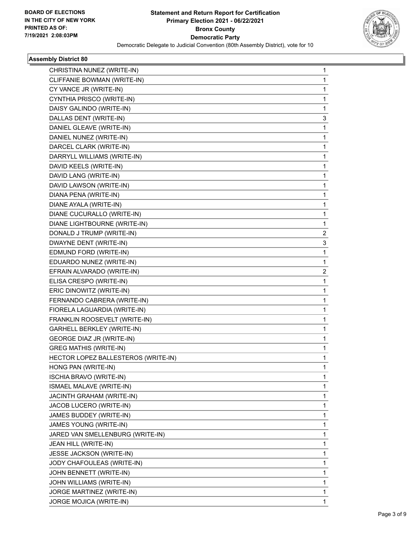

| CHRISTINA NUNEZ (WRITE-IN)          | 1            |
|-------------------------------------|--------------|
| CLIFFANIE BOWMAN (WRITE-IN)         | 1            |
| CY VANCE JR (WRITE-IN)              | 1            |
| CYNTHIA PRISCO (WRITE-IN)           | 1            |
| DAISY GALINDO (WRITE-IN)            | 1            |
| DALLAS DENT (WRITE-IN)              | 3            |
| DANIEL GLEAVE (WRITE-IN)            | 1            |
| DANIEL NUNEZ (WRITE-IN)             | 1            |
| DARCEL CLARK (WRITE-IN)             | 1            |
| DARRYLL WILLIAMS (WRITE-IN)         | 1            |
| DAVID KEELS (WRITE-IN)              | 1            |
| DAVID LANG (WRITE-IN)               | 1            |
| DAVID LAWSON (WRITE-IN)             | 1            |
| DIANA PENA (WRITE-IN)               | 1            |
| DIANE AYALA (WRITE-IN)              | 1            |
| DIANE CUCURALLO (WRITE-IN)          | 1            |
| DIANE LIGHTBOURNE (WRITE-IN)        | 1            |
| DONALD J TRUMP (WRITE-IN)           | 2            |
| DWAYNE DENT (WRITE-IN)              | 3            |
| EDMUND FORD (WRITE-IN)              | 1            |
| EDUARDO NUNEZ (WRITE-IN)            | 1            |
| EFRAIN ALVARADO (WRITE-IN)          | 2            |
| ELISA CRESPO (WRITE-IN)             | 1            |
| ERIC DINOWITZ (WRITE-IN)            | 1            |
| FERNANDO CABRERA (WRITE-IN)         | 1            |
| FIORELA LAGUARDIA (WRITE-IN)        | 1            |
| FRANKLIN ROOSEVELT (WRITE-IN)       | 1            |
| GARHELL BERKLEY (WRITE-IN)          | 1            |
| GEORGE DIAZ JR (WRITE-IN)           | 1            |
| <b>GREG MATHIS (WRITE-IN)</b>       | 1            |
| HECTOR LOPEZ BALLESTEROS (WRITE-IN) | 1            |
| HONG PAN (WRITE-IN)                 | 1            |
| ISCHIA BRAVO (WRITE-IN)             | 1            |
| ISMAEL MALAVE (WRITE-IN)            | 1            |
| JACINTH GRAHAM (WRITE-IN)           | 1            |
| JACOB LUCERO (WRITE-IN)             | 1            |
| JAMES BUDDEY (WRITE-IN)             | 1            |
| JAMES YOUNG (WRITE-IN)              | 1            |
| JARED VAN SMELLENBURG (WRITE-IN)    | 1            |
| JEAN HILL (WRITE-IN)                | 1            |
| <b>JESSE JACKSON (WRITE-IN)</b>     | 1            |
| JODY CHAFOULEAS (WRITE-IN)          | 1            |
| JOHN BENNETT (WRITE-IN)             | 1            |
| JOHN WILLIAMS (WRITE-IN)            | 1            |
| JORGE MARTINEZ (WRITE-IN)           | 1            |
| JORGE MOJICA (WRITE-IN)             | $\mathbf{1}$ |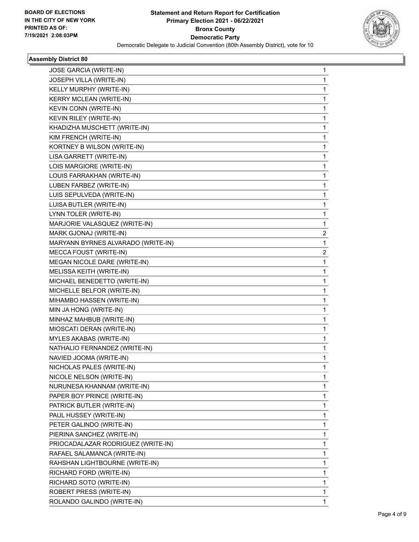

| JOSE GARCIA (WRITE-IN)             | 1 |
|------------------------------------|---|
| JOSEPH VILLA (WRITE-IN)            | 1 |
| KELLY MURPHY (WRITE-IN)            | 1 |
| KERRY MCLEAN (WRITE-IN)            | 1 |
| KEVIN CONN (WRITE-IN)              | 1 |
| KEVIN RILEY (WRITE-IN)             | 1 |
| KHADIZHA MUSCHETT (WRITE-IN)       | 1 |
| KIM FRENCH (WRITE-IN)              | 1 |
| KORTNEY B WILSON (WRITE-IN)        | 1 |
| LISA GARRETT (WRITE-IN)            | 1 |
| LOIS MARGIORE (WRITE-IN)           | 1 |
| LOUIS FARRAKHAN (WRITE-IN)         | 1 |
| LUBEN FARBEZ (WRITE-IN)            | 1 |
| LUIS SEPULVEDA (WRITE-IN)          | 1 |
| LUISA BUTLER (WRITE-IN)            | 1 |
| LYNN TOLER (WRITE-IN)              | 1 |
| MARJORIE VALASQUEZ (WRITE-IN)      | 1 |
| MARK GJONAJ (WRITE-IN)             | 2 |
| MARYANN BYRNES ALVARADO (WRITE-IN) | 1 |
| MECCA FOUST (WRITE-IN)             | 2 |
| MEGAN NICOLE DARE (WRITE-IN)       | 1 |
| MELISSA KEITH (WRITE-IN)           | 1 |
| MICHAEL BENEDETTO (WRITE-IN)       | 1 |
| MICHELLE BELFOR (WRITE-IN)         | 1 |
| MIHAMBO HASSEN (WRITE-IN)          | 1 |
| MIN JA HONG (WRITE-IN)             | 1 |
| MINHAZ MAHBUB (WRITE-IN)           | 1 |
| MIOSCATI DERAN (WRITE-IN)          | 1 |
| MYLES AKABAS (WRITE-IN)            | 1 |
| NATHALIO FERNANDEZ (WRITE-IN)      | 1 |
| NAVIED JOOMA (WRITE-IN)            | 1 |
| NICHOLAS PALES (WRITE-IN)          | 1 |
| NICOLE NELSON (WRITE-IN)           | 1 |
| NURUNESA KHANNAM (WRITE-IN)        | 1 |
| PAPER BOY PRINCE (WRITE-IN)        | 1 |
| PATRICK BUTLER (WRITE-IN)          | 1 |
| PAUL HUSSEY (WRITE-IN)             | 1 |
| PETER GALINDO (WRITE-IN)           | 1 |
| PIERINA SANCHEZ (WRITE-IN)         | 1 |
| PRIOCADALAZAR RODRIGUEZ (WRITE-IN) | 1 |
| RAFAEL SALAMANCA (WRITE-IN)        | 1 |
| RAHSHAN LIGHTBOURNE (WRITE-IN)     | 1 |
| RICHARD FORD (WRITE-IN)            | 1 |
| RICHARD SOTO (WRITE-IN)            | 1 |
| ROBERT PRESS (WRITE-IN)            | 1 |
| ROLANDO GALINDO (WRITE-IN)         | 1 |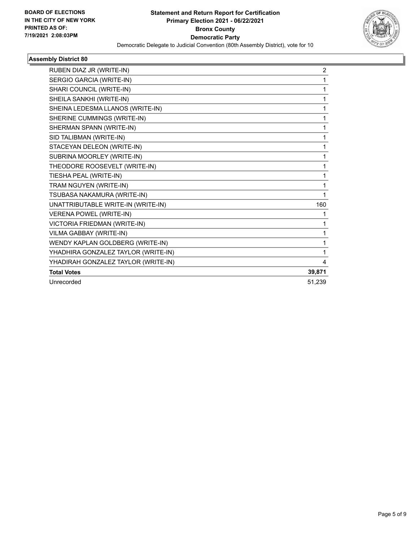

| RUBEN DIAZ JR (WRITE-IN)            | 2      |
|-------------------------------------|--------|
| SERGIO GARCIA (WRITE-IN)            | 1      |
| SHARI COUNCIL (WRITE-IN)            | 1      |
| SHEILA SANKHI (WRITE-IN)            | 1      |
| SHEINA LEDESMA LLANOS (WRITE-IN)    | 1      |
| SHERINE CUMMINGS (WRITE-IN)         | 1      |
| SHERMAN SPANN (WRITE-IN)            | 1      |
| SID TALIBMAN (WRITE-IN)             | 1      |
| STACEYAN DELEON (WRITE-IN)          | 1      |
| SUBRINA MOORLEY (WRITE-IN)          | 1      |
| THEODORE ROOSEVELT (WRITE-IN)       | 1      |
| TIESHA PEAL (WRITE-IN)              | 1      |
| TRAM NGUYEN (WRITE-IN)              | 1      |
| TSUBASA NAKAMURA (WRITE-IN)         | 1      |
| UNATTRIBUTABLE WRITE-IN (WRITE-IN)  | 160    |
| <b>VERENA POWEL (WRITE-IN)</b>      | 1      |
| VICTORIA FRIEDMAN (WRITE-IN)        | 1      |
| VILMA GABBAY (WRITE-IN)             | 1      |
| WENDY KAPLAN GOLDBERG (WRITE-IN)    | 1      |
| YHADHIRA GONZALEZ TAYLOR (WRITE-IN) | 1      |
| YHADIRAH GONZALEZ TAYLOR (WRITE-IN) | 4      |
| <b>Total Votes</b>                  | 39,871 |
| Unrecorded                          | 51,239 |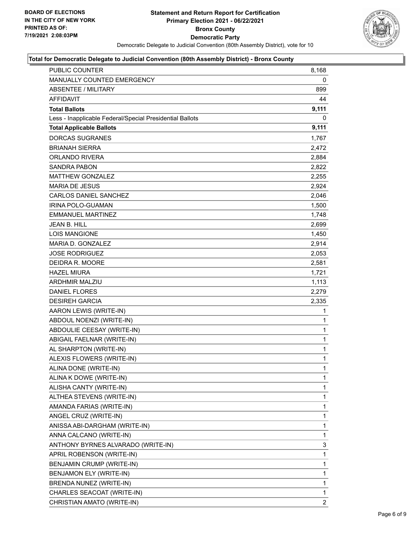

| PUBLIC COUNTER                                           | 8,168          |
|----------------------------------------------------------|----------------|
| MANUALLY COUNTED EMERGENCY                               | 0              |
| <b>ABSENTEE / MILITARY</b>                               | 899            |
| AFFIDAVIT                                                | 44             |
| <b>Total Ballots</b>                                     | 9,111          |
| Less - Inapplicable Federal/Special Presidential Ballots | 0              |
| <b>Total Applicable Ballots</b>                          | 9,111          |
| <b>DORCAS SUGRANES</b>                                   | 1,767          |
| <b>BRIANAH SIERRA</b>                                    | 2,472          |
| ORLANDO RIVERA                                           | 2,884          |
| <b>SANDRA PABON</b>                                      | 2,822          |
| <b>MATTHEW GONZALEZ</b>                                  | 2,255          |
| <b>MARIA DE JESUS</b>                                    | 2,924          |
| <b>CARLOS DANIEL SANCHEZ</b>                             | 2,046          |
| IRINA POLO-GUAMAN                                        | 1,500          |
| <b>EMMANUEL MARTINEZ</b>                                 | 1,748          |
| <b>JEAN B. HILL</b>                                      | 2,699          |
| <b>LOIS MANGIONE</b>                                     | 1,450          |
| MARIA D. GONZALEZ                                        | 2,914          |
| <b>JOSE RODRIGUEZ</b>                                    | 2,053          |
| DEIDRA R. MOORE                                          | 2,581          |
| <b>HAZEL MIURA</b>                                       | 1,721          |
| <b>ARDHMIR MALZIU</b>                                    | 1,113          |
| <b>DANIEL FLORES</b>                                     | 2,279          |
| <b>DESIREH GARCIA</b>                                    | 2,335          |
| AARON LEWIS (WRITE-IN)                                   | 1              |
| ABDOUL NOENZI (WRITE-IN)                                 | $\mathbf{1}$   |
| ABDOULIE CEESAY (WRITE-IN)                               | 1              |
| ABIGAIL FAELNAR (WRITE-IN)                               | 1              |
| AL SHARPTON (WRITE-IN)                                   | $\mathbf{1}$   |
| ALEXIS FLOWERS (WRITE-IN)                                | 1              |
| ALINA DONE (WRITE-IN)                                    | $\mathbf{1}$   |
| ALINA K DOWE (WRITE-IN)                                  | 1              |
| ALISHA CANTY (WRITE-IN)                                  | 1              |
| ALTHEA STEVENS (WRITE-IN)                                | 1              |
| AMANDA FARIAS (WRITE-IN)                                 | 1              |
| ANGEL CRUZ (WRITE-IN)                                    | 1              |
| ANISSA ABI-DARGHAM (WRITE-IN)                            | 1              |
| ANNA CALCANO (WRITE-IN)                                  | 1              |
| ANTHONY BYRNES ALVARADO (WRITE-IN)                       | 3              |
| APRIL ROBENSON (WRITE-IN)                                | 1              |
| BENJAMIN CRUMP (WRITE-IN)                                | 1              |
| BENJAMON ELY (WRITE-IN)                                  | 1              |
| BRENDA NUNEZ (WRITE-IN)                                  | 1              |
| CHARLES SEACOAT (WRITE-IN)                               | 1              |
| CHRISTIAN AMATO (WRITE-IN)                               | $\overline{2}$ |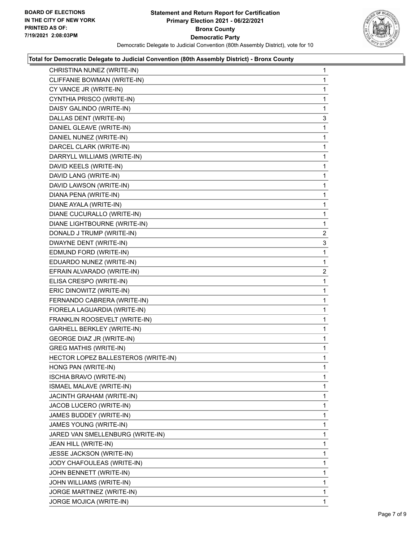

| CHRISTINA NUNEZ (WRITE-IN)          | 1              |
|-------------------------------------|----------------|
| CLIFFANIE BOWMAN (WRITE-IN)         | 1              |
| CY VANCE JR (WRITE-IN)              | 1              |
| CYNTHIA PRISCO (WRITE-IN)           | 1              |
| DAISY GALINDO (WRITE-IN)            | 1              |
| DALLAS DENT (WRITE-IN)              | 3              |
| DANIEL GLEAVE (WRITE-IN)            | 1              |
| DANIEL NUNEZ (WRITE-IN)             | 1              |
| DARCEL CLARK (WRITE-IN)             | 1              |
| DARRYLL WILLIAMS (WRITE-IN)         | 1              |
| DAVID KEELS (WRITE-IN)              | 1              |
| DAVID LANG (WRITE-IN)               | 1              |
| DAVID LAWSON (WRITE-IN)             | 1              |
| DIANA PENA (WRITE-IN)               | 1              |
| DIANE AYALA (WRITE-IN)              | 1              |
| DIANE CUCURALLO (WRITE-IN)          | 1              |
| DIANE LIGHTBOURNE (WRITE-IN)        | 1              |
| DONALD J TRUMP (WRITE-IN)           | $\overline{2}$ |
| DWAYNE DENT (WRITE-IN)              | 3              |
| EDMUND FORD (WRITE-IN)              | 1              |
| EDUARDO NUNEZ (WRITE-IN)            | 1              |
| EFRAIN ALVARADO (WRITE-IN)          | 2              |
| ELISA CRESPO (WRITE-IN)             | 1              |
| ERIC DINOWITZ (WRITE-IN)            | 1              |
| FERNANDO CABRERA (WRITE-IN)         | 1              |
| FIORELA LAGUARDIA (WRITE-IN)        | 1              |
| FRANKLIN ROOSEVELT (WRITE-IN)       | 1              |
| GARHELL BERKLEY (WRITE-IN)          | 1              |
| GEORGE DIAZ JR (WRITE-IN)           | 1              |
| <b>GREG MATHIS (WRITE-IN)</b>       | 1              |
| HECTOR LOPEZ BALLESTEROS (WRITE-IN) | 1              |
| HONG PAN (WRITE-IN)                 | 1              |
| <b>ISCHIA BRAVO (WRITE-IN)</b>      | 1              |
| ISMAEL MALAVE (WRITE-IN)            | 1              |
| JACINTH GRAHAM (WRITE-IN)           | 1              |
| JACOB LUCERO (WRITE-IN)             | 1              |
| JAMES BUDDEY (WRITE-IN)             | 1              |
| JAMES YOUNG (WRITE-IN)              | 1              |
| JARED VAN SMELLENBURG (WRITE-IN)    | 1              |
| JEAN HILL (WRITE-IN)                | 1              |
| JESSE JACKSON (WRITE-IN)            | 1              |
| JODY CHAFOULEAS (WRITE-IN)          | 1              |
| JOHN BENNETT (WRITE-IN)             | 1              |
| JOHN WILLIAMS (WRITE-IN)            | 1              |
| JORGE MARTINEZ (WRITE-IN)           | 1              |
| JORGE MOJICA (WRITE-IN)             | $\mathbf{1}$   |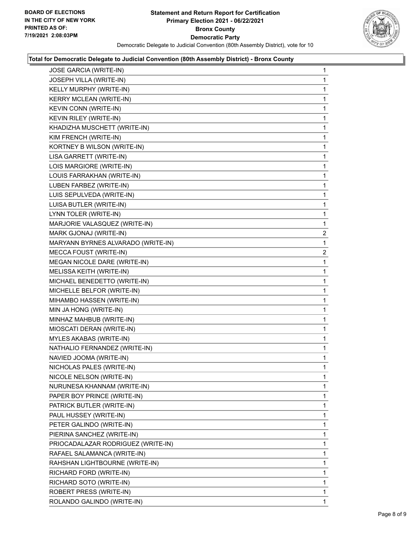

| <b>JOSE GARCIA (WRITE-IN)</b>      | 1              |
|------------------------------------|----------------|
| JOSEPH VILLA (WRITE-IN)            | 1              |
| KELLY MURPHY (WRITE-IN)            | 1              |
| KERRY MCLEAN (WRITE-IN)            | 1              |
| KEVIN CONN (WRITE-IN)              | 1              |
| KEVIN RILEY (WRITE-IN)             | 1              |
| KHADIZHA MUSCHETT (WRITE-IN)       | 1              |
| KIM FRENCH (WRITE-IN)              | 1              |
| KORTNEY B WILSON (WRITE-IN)        | 1              |
| LISA GARRETT (WRITE-IN)            | 1              |
| LOIS MARGIORE (WRITE-IN)           | 1              |
| LOUIS FARRAKHAN (WRITE-IN)         | 1              |
| LUBEN FARBEZ (WRITE-IN)            | 1              |
| LUIS SEPULVEDA (WRITE-IN)          | 1              |
| LUISA BUTLER (WRITE-IN)            | 1              |
| LYNN TOLER (WRITE-IN)              | 1              |
| MARJORIE VALASQUEZ (WRITE-IN)      | 1              |
| MARK GJONAJ (WRITE-IN)             | $\overline{2}$ |
| MARYANN BYRNES ALVARADO (WRITE-IN) | 1              |
| MECCA FOUST (WRITE-IN)             | $\overline{c}$ |
| MEGAN NICOLE DARE (WRITE-IN)       | 1              |
| MELISSA KEITH (WRITE-IN)           | 1              |
| MICHAEL BENEDETTO (WRITE-IN)       | 1              |
| MICHELLE BELFOR (WRITE-IN)         | 1              |
| MIHAMBO HASSEN (WRITE-IN)          | 1              |
| MIN JA HONG (WRITE-IN)             | 1              |
| MINHAZ MAHBUB (WRITE-IN)           | 1              |
| MIOSCATI DERAN (WRITE-IN)          | 1              |
| MYLES AKABAS (WRITE-IN)            | 1              |
| NATHALIO FERNANDEZ (WRITE-IN)      | 1              |
| NAVIED JOOMA (WRITE-IN)            | 1              |
| NICHOLAS PALES (WRITE-IN)          | 1              |
| NICOLE NELSON (WRITE-IN)           | 1              |
| NURUNESA KHANNAM (WRITE-IN)        | 1              |
| PAPER BOY PRINCE (WRITE-IN)        | 1              |
| PATRICK BUTLER (WRITE-IN)          | 1              |
| PAUL HUSSEY (WRITE-IN)             | 1              |
| PETER GALINDO (WRITE-IN)           | 1              |
| PIERINA SANCHEZ (WRITE-IN)         | 1              |
| PRIOCADALAZAR RODRIGUEZ (WRITE-IN) | 1              |
| RAFAEL SALAMANCA (WRITE-IN)        | 1              |
| RAHSHAN LIGHTBOURNE (WRITE-IN)     | 1              |
| RICHARD FORD (WRITE-IN)            | 1              |
| RICHARD SOTO (WRITE-IN)            | 1              |
| ROBERT PRESS (WRITE-IN)            | 1              |
| ROLANDO GALINDO (WRITE-IN)         | 1              |